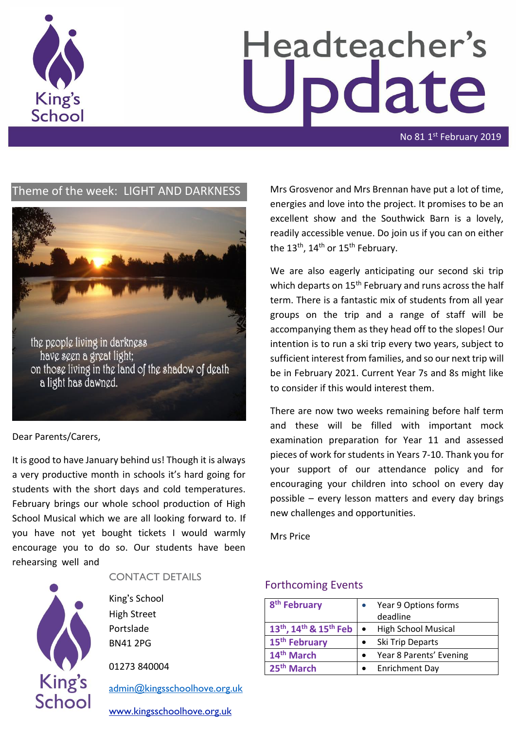

# Headteacher's pdate

No 81 1st February 2019

# Theme of the week: LIGHT AND DARKNESS



#### Dear Parents/Carers,

It is good to have January behind us! Though it is always a very productive month in schools it's hard going for students with the short days and cold temperatures. February brings our whole school production of High School Musical which we are all looking forward to. If you have not yet bought tickets I would warmly encourage you to do so. Our students have been rehearsing well and



CONTACT DETAILS

King's School High Street Portslade BN41 2PG

01273 840004

[admin@kingsschoolhove.org.uk](mailto:admin@kingsschoolhove.org.uk)

[www.kingsschoolhove.org.uk](http://www.kingsschoolhove.org.uk/)

Mrs Grosvenor and Mrs Brennan have put a lot of time, energies and love into the project. It promises to be an excellent show and the Southwick Barn is a lovely, readily accessible venue. Do join us if you can on either the 13<sup>th</sup>, 14<sup>th</sup> or 15<sup>th</sup> February.

We are also eagerly anticipating our second ski trip which departs on 15<sup>th</sup> February and runs across the half term. There is a fantastic mix of students from all year groups on the trip and a range of staff will be accompanying them as they head off to the slopes! Our intention is to run a ski trip every two years, subject to sufficient interest from families, and so our next trip will be in February 2021. Current Year 7s and 8s might like to consider if this would interest them.

There are now two weeks remaining before half term and these will be filled with important mock examination preparation for Year 11 and assessed pieces of work for students in Years 7-10. Thank you for your support of our attendance policy and for encouraging your children into school on every day possible – every lesson matters and every day brings new challenges and opportunities.

Mrs Price

## Forthcoming Events

| 8 <sup>th</sup> February                                   |           | Year 9 Options forms<br>deadline |
|------------------------------------------------------------|-----------|----------------------------------|
| 13 <sup>th</sup> , 14 <sup>th</sup> & 15 <sup>th</sup> Feb | $\bullet$ | <b>High School Musical</b>       |
| 15 <sup>th</sup> February                                  |           | Ski Trip Departs                 |
| 14 <sup>th</sup> March                                     |           | Year 8 Parents' Evening          |
| 25 <sup>th</sup> March                                     |           | <b>Enrichment Day</b>            |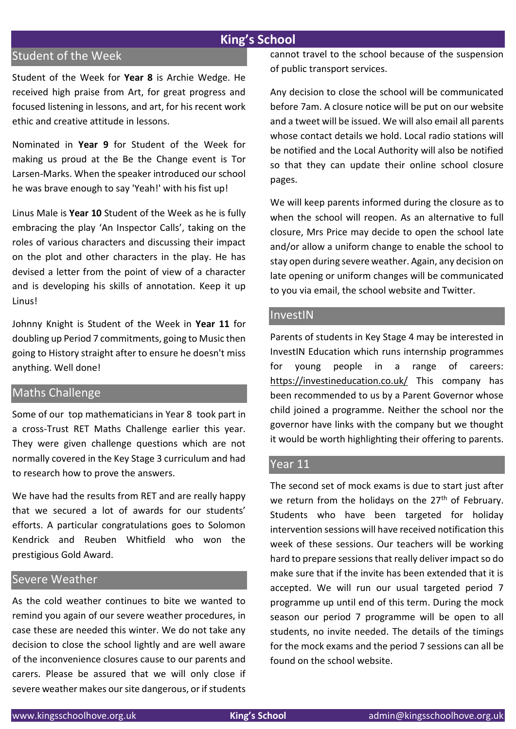# **King's School**

# Student of the Week

Student of the Week for **Year 8** is Archie Wedge. He received high praise from Art, for great progress and focused listening in lessons, and art, for his recent work ethic and creative attitude in lessons.

Nominated in **Year 9** for Student of the Week for making us proud at the Be the Change event is Tor Larsen-Marks. When the speaker introduced our school he was brave enough to say 'Yeah!' with his fist up!

Linus Male is **Year 10** Student of the Week as he is fully embracing the play 'An Inspector Calls', taking on the roles of various characters and discussing their impact on the plot and other characters in the play. He has devised a letter from the point of view of a character and is developing his skills of annotation. Keep it up Linus!

Johnny Knight is Student of the Week in **Year 11** for doubling up Period 7 commitments, going to Music then going to History straight after to ensure he doesn't miss anything. Well done!

## Maths Challenge

Some of our top mathematicians in Year 8 took part in a cross-Trust RET Maths Challenge earlier this year. They were given challenge questions which are not normally covered in the Key Stage 3 curriculum and had to research how to prove the answers.

We have had the results from RET and are really happy that we secured a lot of awards for our students' efforts. A particular congratulations goes to Solomon Kendrick and Reuben Whitfield who won the prestigious Gold Award.

## Severe Weather

As the cold weather continues to bite we wanted to remind you again of our severe weather procedures, in case these are needed this winter. We do not take any decision to close the school lightly and are well aware of the inconvenience closures cause to our parents and carers. Please be assured that we will only close if severe weather makes our site dangerous, or if students cannot travel to the school because of the suspension of public transport services.

Any decision to close the school will be communicated before 7am. A closure notice will be put on our website and a tweet will be issued. We will also email all parents whose contact details we hold. Local radio stations will be notified and the Local Authority will also be notified so that they can update their online school closure pages.

We will keep parents informed during the closure as to when the school will reopen. As an alternative to full closure, Mrs Price may decide to open the school late and/or allow a uniform change to enable the school to stay open during severe weather. Again, any decision on late opening or uniform changes will be communicated to you via email, the school website and Twitter.

## InvestIN

Parents of students in Key Stage 4 may be interested in InvestIN Education which runs internship programmes for young people in a range of careers: <https://investineducation.co.uk/> This company has been recommended to us by a Parent Governor whose child joined a programme. Neither the school nor the governor have links with the company but we thought it would be worth highlighting their offering to parents.

## Year 11

The second set of mock exams is due to start just after we return from the holidays on the  $27<sup>th</sup>$  of February. Students who have been targeted for holiday intervention sessions will have received notification this week of these sessions. Our teachers will be working hard to prepare sessions that really deliver impact so do make sure that if the invite has been extended that it is accepted. We will run our usual targeted period 7 programme up until end of this term. During the mock season our period 7 programme will be open to all students, no invite needed. The details of the timings for the mock exams and the period 7 sessions can all be found on the school website.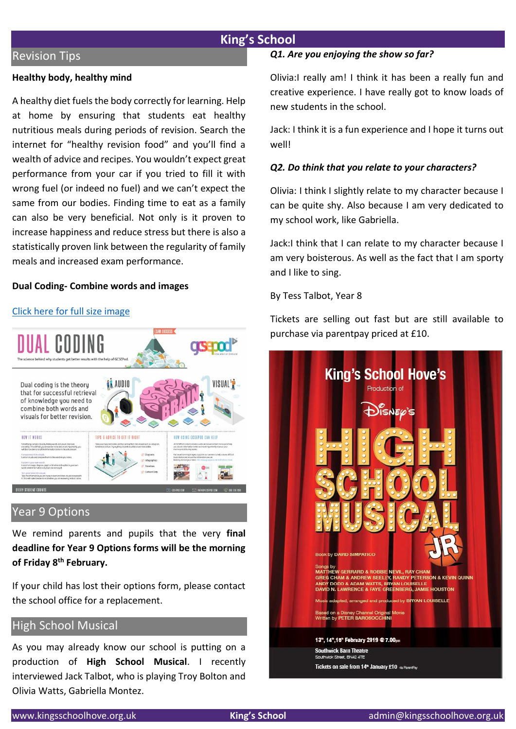## **King's School**

#### Revision Tips

#### **Healthy body, healthy mind**

A healthy diet fuels the body correctly for learning. Help at home by ensuring that students eat healthy nutritious meals during periods of revision. Search the internet for "healthy revision food" and you'll find a wealth of advice and recipes. You wouldn't expect great performance from your car if you tried to fill it with wrong fuel (or indeed no fuel) and we can't expect the same from our bodies. Finding time to eat as a family can also be very beneficial. Not only is it proven to increase happiness and reduce stress but there is also a statistically proven link between the regularity of family meals and increased exam performance.

#### **Dual Coding- Combine words and images**

#### [Click here for full size image](https://drive.google.com/file/d/1kTshf6SK0o1VlYcjbma6QOrVTnf28aKT/view?ts=5c5436e9)



## Year 9 Options

We remind parents and pupils that the very **final deadline for Year 9 Options forms will be the morning of Friday 8th February.**

If your child has lost their options form, please contact the school office for a replacement.

## High School Musical

As you may already know our school is putting on a production of **High School Musical**. I recently interviewed Jack Talbot, who is playing Troy Bolton and Olivia Watts, Gabriella Montez.

#### *Q1. Are you enjoying the show so far?*

Olivia:I really am! I think it has been a really fun and creative experience. I have really got to know loads of new students in the school.

Jack: I think it is a fun experience and I hope it turns out well!

#### *Q2. Do think that you relate to your characters?*

Olivia: I think I slightly relate to my character because I can be quite shy. Also because I am very dedicated to my school work, like Gabriella.

Jack:I think that I can relate to my character because I am very boisterous. As well as the fact that I am sporty and I like to sing.

#### By Tess Talbot, Year 8

Tickets are selling out fast but are still available to purchase via parentpay priced at £10.